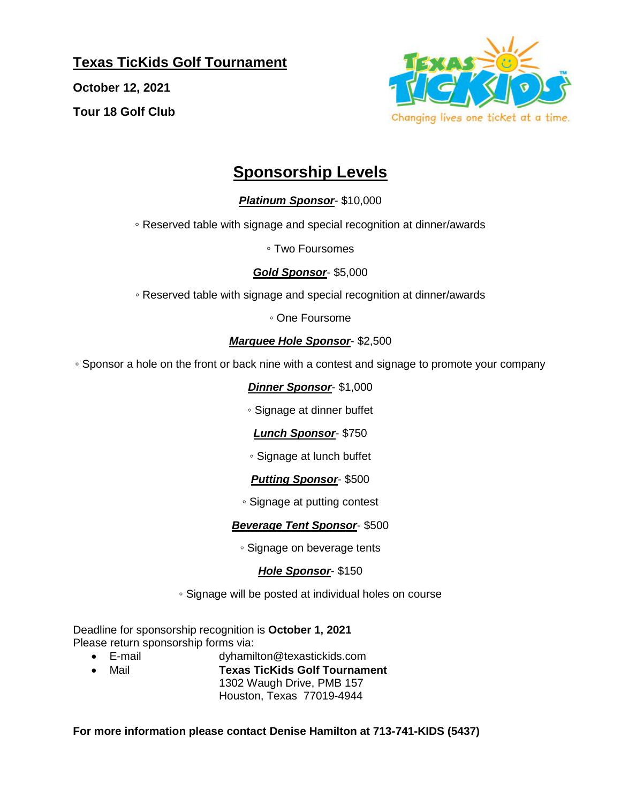**Texas TicKids Golf Tournament**

**October 12, 2021 Tour 18 Golf Club**



# **Sponsorship Levels**

### *Platinum Sponsor*- \$10,000

◦ Reserved table with signage and special recognition at dinner/awards

◦ Two Foursomes

#### *Gold Sponsor*- \$5,000

◦ Reserved table with signage and special recognition at dinner/awards

◦ One Foursome

#### *Marquee Hole Sponsor*- \$2,500

◦ Sponsor a hole on the front or back nine with a contest and signage to promote your company

#### *Dinner Sponsor*- \$1,000

◦ Signage at dinner buffet

#### *Lunch Sponsor*- \$750

◦ Signage at lunch buffet

#### *Putting Sponsor*- \$500

◦ Signage at putting contest

#### *Beverage Tent Sponsor*- \$500

◦ Signage on beverage tents

#### *Hole Sponsor*- \$150

◦ Signage will be posted at individual holes on course

Deadline for sponsorship recognition is **October 1, 2021** Please return sponsorship forms via:

- E-mail dyhamilton@texastickids.com
	- Mail **Texas TicKids Golf Tournament**
		- 1302 Waugh Drive, PMB 157 Houston, Texas 77019-4944

#### **For more information please contact Denise Hamilton at 713-741-KIDS (5437)**